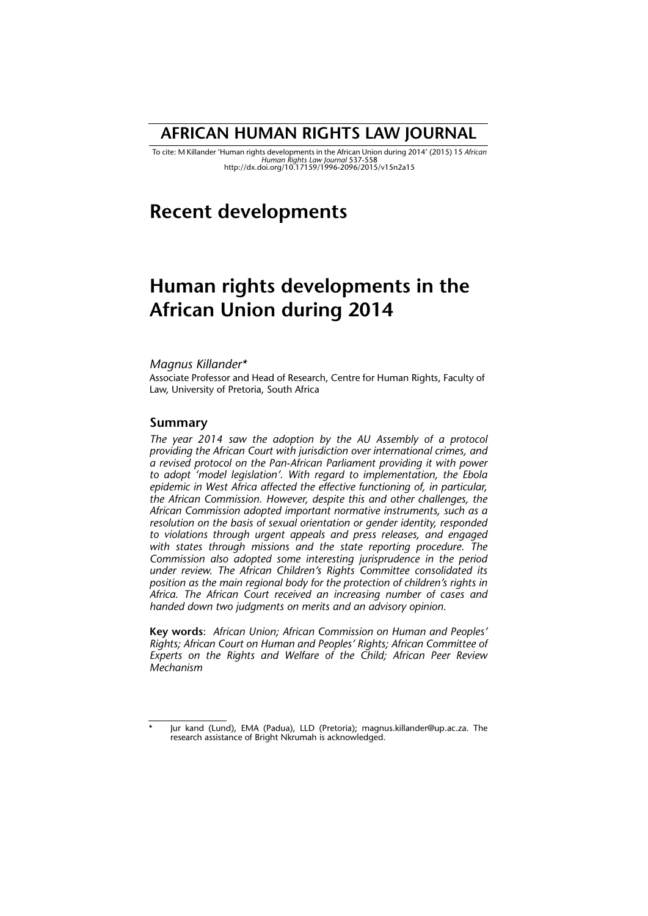## **AFRICAN HUMAN RIGHTS LAW JOURNAL**

To cite: M Killander 'Human rights developments in the African Union during 2014' (2015) 15 *African Human Rights Law Journal* 537-558 http://dx.doi.org/10.17159/1996-2096/2015/v15n2a15

# **Recent developments**

# **Human rights developments in the African Union during 2014**

## *Magnus Killander\**

Associate Professor and Head of Research, Centre for Human Rights, Faculty of Law, University of Pretoria, South Africa

## **Summary**

*The year 2014 saw the adoption by the AU Assembly of a protocol providing the African Court with jurisdiction over international crimes, and a revised protocol on the Pan-African Parliament providing it with power to adopt 'model legislation'. With regard to implementation, the Ebola epidemic in West Africa affected the effective functioning of, in particular, the African Commission. However, despite this and other challenges, the African Commission adopted important normative instruments, such as a resolution on the basis of sexual orientation or gender identity, responded to violations through urgent appeals and press releases, and engaged with states through missions and the state reporting procedure. The Commission also adopted some interesting jurisprudence in the period under review. The African Children's Rights Committee consolidated its position as the main regional body for the protection of children's rights in Africa. The African Court received an increasing number of cases and handed down two judgments on merits and an advisory opinion.*

**Key words**: *African Union; African Commission on Human and Peoples' Rights; African Court on Human and Peoples' Rights; African Committee of Experts on the Rights and Welfare of the Child; African Peer Review Mechanism*

Jur kand (Lund), EMA (Padua), LLD (Pretoria); magnus.killander@up.ac.za. The research assistance of Bright Nkrumah is acknowledged.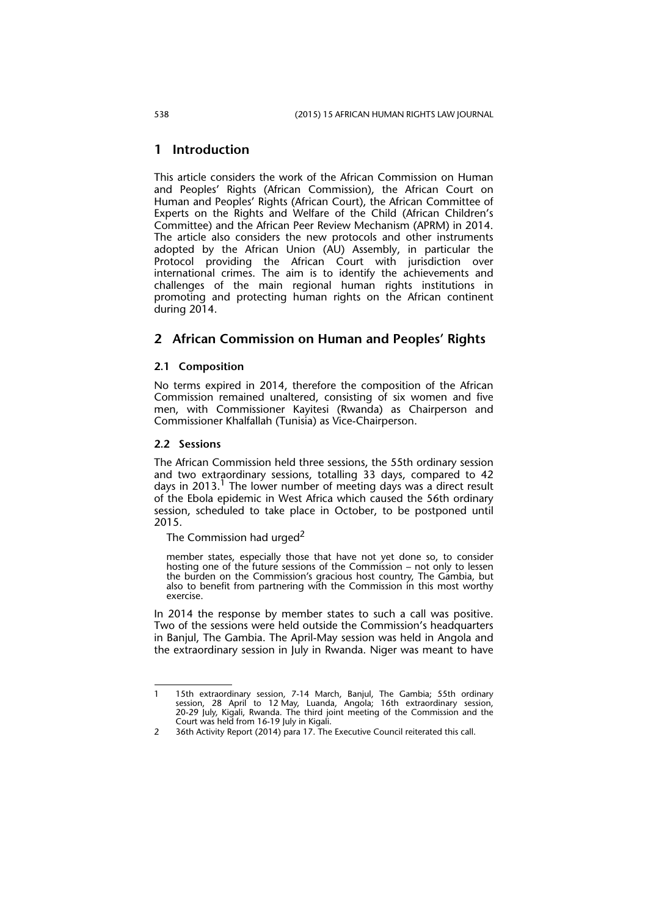## **1 Introduction**

This article considers the work of the African Commission on Human and Peoples' Rights (African Commission), the African Court on Human and Peoples' Rights (African Court), the African Committee of Experts on the Rights and Welfare of the Child (African Children's Committee) and the African Peer Review Mechanism (APRM) in 2014. The article also considers the new protocols and other instruments adopted by the African Union (AU) Assembly, in particular the Protocol providing the African Court with jurisdiction over international crimes. The aim is to identify the achievements and challenges of the main regional human rights institutions in promoting and protecting human rights on the African continent during 2014.

## **2 African Commission on Human and Peoples' Rights**

### **2.1 Composition**

No terms expired in 2014, therefore the composition of the African Commission remained unaltered, consisting of six women and five men, with Commissioner Kayitesi (Rwanda) as Chairperson and Commissioner Khalfallah (Tunisia) as Vice-Chairperson.

#### **2.2 Sessions**

The African Commission held three sessions, the 55th ordinary session and two extraordinary sessions, totalling 33 days, compared to 42 days in 2013.<sup>1</sup> The lower number of meeting days was a direct result of the Ebola epidemic in West Africa which caused the 56th ordinary session, scheduled to take place in October, to be postponed until 2015.

The Commission had urged<sup>2</sup>

member states, especially those that have not yet done so, to consider hosting one of the future sessions of the Commission – not only to lessen the burden on the Commission's gracious host country, The Gambia, but also to benefit from partnering with the Commission in this most worthy exercise.

In 2014 the response by member states to such a call was positive. Two of the sessions were held outside the Commission's headquarters in Banjul, The Gambia. The April-May session was held in Angola and the extraordinary session in July in Rwanda. Niger was meant to have

<sup>1 15</sup>th extraordinary session, 7-14 March, Banjul, The Gambia; 55th ordinary session, 28 April to 12 May, Luanda, Angola; 16th extraordinary session, 20-29 July, Kigali, Rwanda. The third joint meeting of the Commission and the Court was held from 16-19 July in Kigali.

<sup>2 36</sup>th Activity Report (2014) para 17. The Executive Council reiterated this call.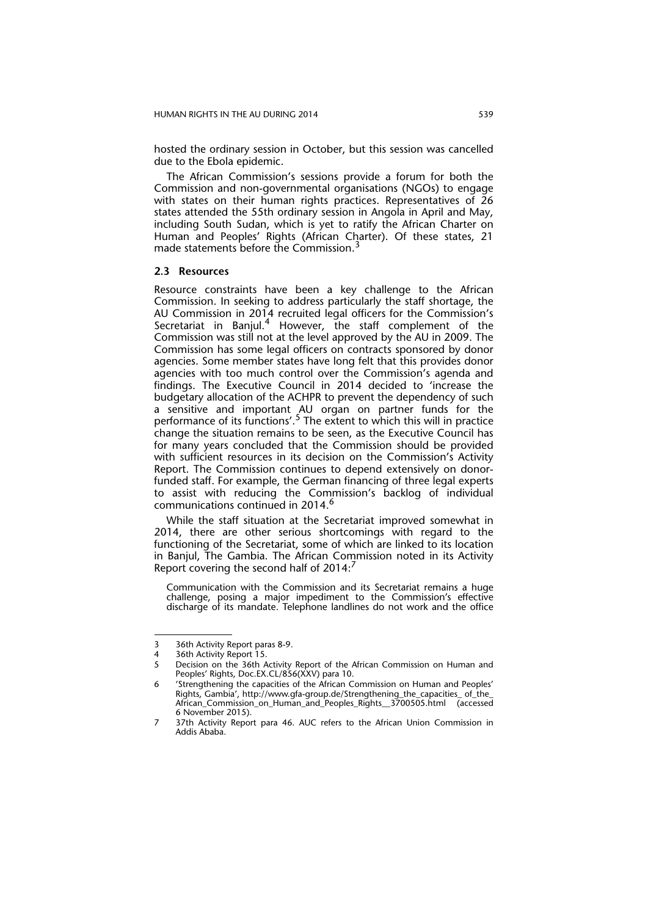hosted the ordinary session in October, but this session was cancelled due to the Ebola epidemic.

The African Commission's sessions provide a forum for both the Commission and non-governmental organisations (NGOs) to engage with states on their human rights practices. Representatives of 26 states attended the 55th ordinary session in Angola in April and May, including South Sudan, which is yet to ratify the African Charter on Human and Peoples' Rights (African Charter). Of these states, 21 made statements before the Commission.<sup>3</sup>

#### **2.3 Resources**

Resource constraints have been a key challenge to the African Commission. In seeking to address particularly the staff shortage, the AU Commission in 2014 recruited legal officers for the Commission's Secretariat in Banjul.<sup>4</sup> However, the staff complement of the Commission was still not at the level approved by the AU in 2009. The Commission has some legal officers on contracts sponsored by donor agencies. Some member states have long felt that this provides donor agencies with too much control over the Commission's agenda and findings. The Executive Council in 2014 decided to 'increase the budgetary allocation of the ACHPR to prevent the dependency of such a sensitive and important AU organ on partner funds for the performance of its functions'.<sup>5</sup> The extent to which this will in practice change the situation remains to be seen, as the Executive Council has for many years concluded that the Commission should be provided with sufficient resources in its decision on the Commission's Activity Report. The Commission continues to depend extensively on donorfunded staff. For example, the German financing of three legal experts to assist with reducing the Commission's backlog of individual communications continued in 2014.<sup>6</sup>

While the staff situation at the Secretariat improved somewhat in 2014, there are other serious shortcomings with regard to the functioning of the Secretariat, some of which are linked to its location in Banjul, The Gambia. The African Commission noted in its Activity Report covering the second half of 2014:<sup>7</sup>

Communication with the Commission and its Secretariat remains a huge challenge, posing a major impediment to the Commission's effective discharge of its mandate. Telephone landlines do not work and the office

<sup>3 36</sup>th Activity Report paras 8-9.

<sup>4 36</sup>th Activity Report 15.

<sup>5</sup> Decision on the 36th Activity Report of the African Commission on Human and Peoples' Rights, Doc.EX.CL/856(XXV) para 10.

<sup>6 &#</sup>x27;Strengthening the capacities of the African Commission on Human and Peoples' Rights, Gambia', http://www.gfa-group.de/Strengthening\_the\_capacities\_ of\_the\_ African\_Commission\_on\_Human\_and\_Peoples\_Rights\_\_3700505.html (accessed 6 November 2015).

<sup>7 37</sup>th Activity Report para 46. AUC refers to the African Union Commission in Addis Ababa.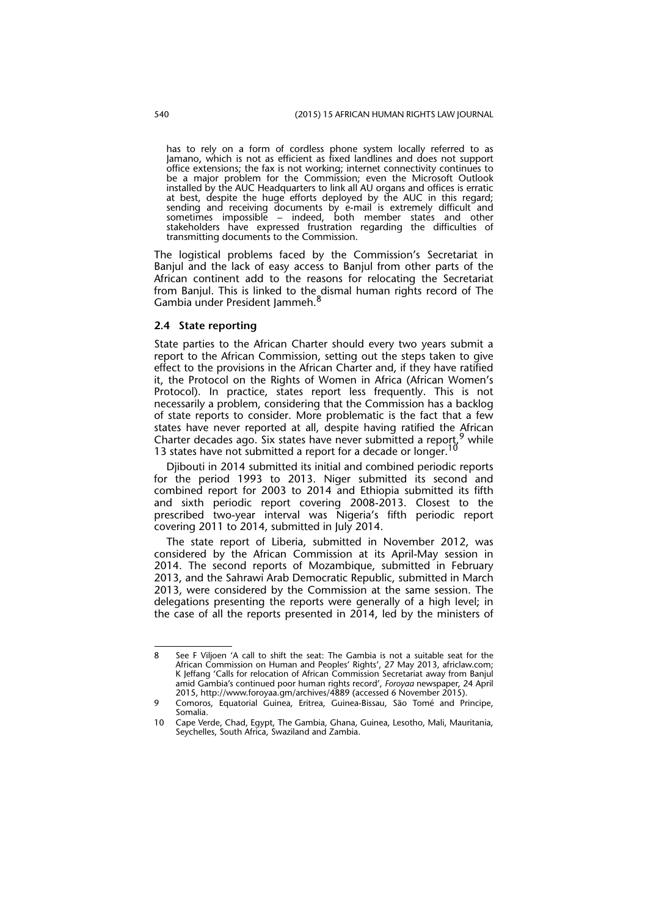has to rely on a form of cordless phone system locally referred to as Jamano, which is not as efficient as fixed landlines and does not support office extensions; the fax is not working; internet connectivity continues to be a major problem for the Commission; even the Microsoft Outlook installed by the AUC Headquarters to link all AU organs and offices is erratic at best, despite the huge efforts deployed by the AUC in this regard; sending and receiving documents by e-mail is extremely difficult and sometimes impossible – indeed, both member states and other stakeholders have expressed frustration regarding the difficulties of transmitting documents to the Commission.

The logistical problems faced by the Commission's Secretariat in Banjul and the lack of easy access to Banjul from other parts of the African continent add to the reasons for relocating the Secretariat from Banjul. This is linked to the dismal human rights record of The Gambia under President Jammeh.<sup>8</sup>

#### **2.4 State reporting**

State parties to the African Charter should every two years submit a report to the African Commission, setting out the steps taken to give effect to the provisions in the African Charter and, if they have ratified it, the Protocol on the Rights of Women in Africa (African Women's Protocol). In practice, states report less frequently. This is not necessarily a problem, considering that the Commission has a backlog of state reports to consider. More problematic is the fact that a few states have never reported at all, despite having ratified the African Charter decades ago. Six states have never submitted a report,  $9$  while 13 states have not submitted a report for a decade or longer.<sup>10</sup>

Djibouti in 2014 submitted its initial and combined periodic reports for the period 1993 to 2013. Niger submitted its second and combined report for 2003 to 2014 and Ethiopia submitted its fifth and sixth periodic report covering 2008-2013. Closest to the prescribed two-year interval was Nigeria's fifth periodic report covering 2011 to 2014, submitted in July 2014.

The state report of Liberia, submitted in November 2012, was considered by the African Commission at its April-May session in 2014. The second reports of Mozambique, submitted in February 2013, and the Sahrawi Arab Democratic Republic, submitted in March 2013, were considered by the Commission at the same session. The delegations presenting the reports were generally of a high level; in the case of all the reports presented in 2014, led by the ministers of

<sup>8</sup> See F Viljoen 'A call to shift the seat: The Gambia is not a suitable seat for the African Commission on Human and Peoples' Rights', 27 May 2013, africlaw.com; K Jeffang 'Calls for relocation of African Commission Secretariat away from Banjul amid Gambia's continued poor human rights record', *Foroyaa* newspaper, 24 April 2015, http://www.foroyaa.gm/archives/4889 (accessed 6 November 2015).

Comoros, Equatorial Guinea, Eritrea, Guinea-Bissau, São Tomé and Principe, Somalia.

<sup>10</sup> Cape Verde, Chad, Egypt, The Gambia, Ghana, Guinea, Lesotho, Mali, Mauritania, Seychelles, South Africa, Swaziland and Zambia.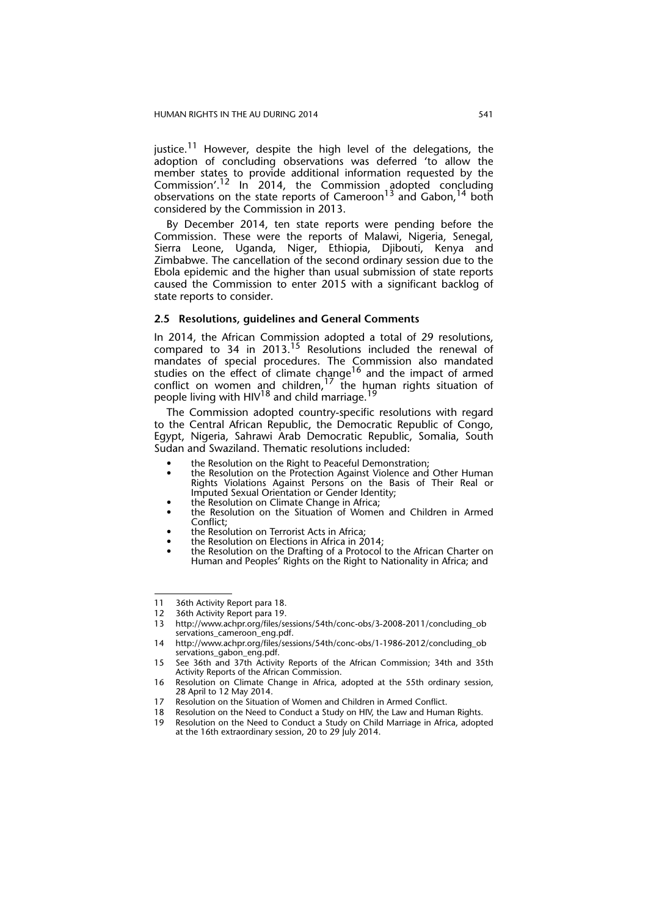justice.<sup>11</sup> However, despite the high level of the delegations, the adoption of concluding observations was deferred 'to allow the member states to provide additional information requested by the Commission'.<sup>12</sup> In 2014, the Commission adopted concluding observations on the state reports of Cameroon<sup>13</sup> and Gabon,<sup>14</sup> both considered by the Commission in 2013.

By December 2014, ten state reports were pending before the Commission. These were the reports of Malawi, Nigeria, Senegal, Sierra Leone, Uganda, Niger, Ethiopia, Djibouti, Kenya and Zimbabwe. The cancellation of the second ordinary session due to the Ebola epidemic and the higher than usual submission of state reports caused the Commission to enter 2015 with a significant backlog of state reports to consider.

#### **2.5 Resolutions, guidelines and General Comments**

In 2014, the African Commission adopted a total of 29 resolutions, compared to 34 in 2013.<sup>15</sup> Resolutions included the renewal of mandates of special procedures. The Commission also mandated studies on the effect of climate change<sup>16</sup> and the impact of armed conflict on women and children, $17$  the human rights situation of people living with HIV<sup>18</sup> and child marriage.<sup>19</sup>

The Commission adopted country-specific resolutions with regard to the Central African Republic, the Democratic Republic of Congo, Egypt, Nigeria, Sahrawi Arab Democratic Republic, Somalia, South Sudan and Swaziland. Thematic resolutions included:

- the Resolution on the Right to Peaceful Demonstration;
- the Resolution on the Protection Against Violence and Other Human Rights Violations Against Persons on the Basis of Their Real or Imputed Sexual Orientation or Gender Identity;
- the Resolution on Climate Change in Africa;
- the Resolution on the Situation of Women and Children in Armed Conflict;
- the Resolution on Terrorist Acts in Africa;
- the Resolution on Elections in Africa in 2014;
- the Resolution on the Drafting of a Protocol to the African Charter on Human and Peoples' Rights on the Right to Nationality in Africa; and

<sup>11 36</sup>th Activity Report para 18.

<sup>12 36</sup>th Activity Report para 19.<br>13 http://www.achpr.org/files/se

<sup>13</sup> http://www.achpr.org/files/sessions/54th/conc-obs/3-2008-2011/concluding\_ob servations\_cameroon\_eng.pdf.

<sup>14</sup> http://www.achpr.org/files/sessions/54th/conc-obs/1-1986-2012/concluding\_ob servations\_gabon\_eng.pdf.

<sup>15</sup> See 36th and 37th Activity Reports of the African Commission; 34th and 35th Activity Reports of the African Commission.

<sup>16</sup> Resolution on Climate Change in Africa, adopted at the 55th ordinary session, 28 April to 12 May 2014.

<sup>17</sup> Resolution on the Situation of Women and Children in Armed Conflict.<br>18 Resolution on the Need to Conduct a Study on HIV the Law and Huma

Resolution on the Need to Conduct a Study on HIV, the Law and Human Rights.

<sup>19</sup> Resolution on the Need to Conduct a Study on Child Marriage in Africa, adopted at the 16th extraordinary session, 20 to 29 July 2014.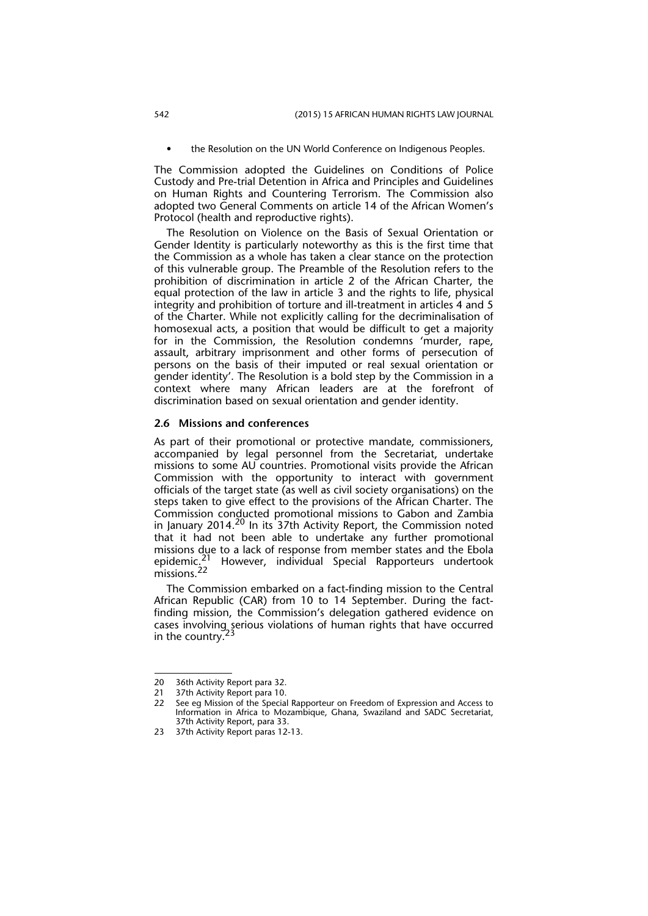• the Resolution on the UN World Conference on Indigenous Peoples.

The Commission adopted the Guidelines on Conditions of Police Custody and Pre-trial Detention in Africa and Principles and Guidelines on Human Rights and Countering Terrorism. The Commission also adopted two General Comments on article 14 of the African Women's Protocol (health and reproductive rights).

The Resolution on Violence on the Basis of Sexual Orientation or Gender Identity is particularly noteworthy as this is the first time that the Commission as a whole has taken a clear stance on the protection of this vulnerable group. The Preamble of the Resolution refers to the prohibition of discrimination in article 2 of the African Charter, the equal protection of the law in article 3 and the rights to life, physical integrity and prohibition of torture and ill-treatment in articles 4 and 5 of the Charter. While not explicitly calling for the decriminalisation of homosexual acts, a position that would be difficult to get a majority for in the Commission, the Resolution condemns 'murder, rape, assault, arbitrary imprisonment and other forms of persecution of persons on the basis of their imputed or real sexual orientation or gender identity'. The Resolution is a bold step by the Commission in a context where many African leaders are at the forefront of discrimination based on sexual orientation and gender identity.

#### **2.6 Missions and conferences**

As part of their promotional or protective mandate, commissioners, accompanied by legal personnel from the Secretariat, undertake missions to some AU countries. Promotional visits provide the African Commission with the opportunity to interact with government officials of the target state (as well as civil society organisations) on the steps taken to give effect to the provisions of the African Charter. The Commission conducted promotional missions to Gabon and Zambia in January 2014.<sup>20</sup> In its 37th Activity Report, the Commission noted that it had not been able to undertake any further promotional missions due to a lack of response from member states and the Ebola epidemic.<sup>21</sup> However, individual Special Rapporteurs undertook missions.<sup>22</sup>

The Commission embarked on a fact-finding mission to the Central African Republic (CAR) from 10 to 14 September. During the factfinding mission, the Commission's delegation gathered evidence on cases involving serious violations of human rights that have occurred in the country. $23$ 

<sup>20 36</sup>th Activity Report para 32.

<sup>21 37</sup>th Activity Report para 10.

<sup>22</sup> See eg Mission of the Special Rapporteur on Freedom of Expression and Access to Information in Africa to Mozambique, Ghana, Swaziland and SADC Secretariat, 37th Activity Report, para 33.

<sup>23 37</sup>th Activity Report paras 12-13.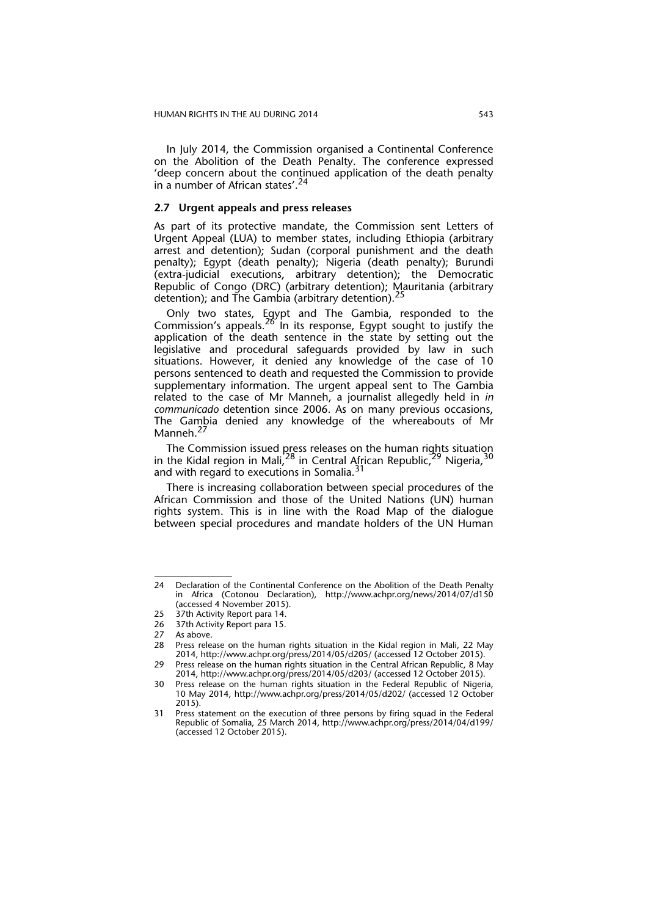In July 2014, the Commission organised a Continental Conference on the Abolition of the Death Penalty. The conference expressed 'deep concern about the continued application of the death penalty in a number of African states'.<sup>24</sup>

## **2.7 Urgent appeals and press releases**

As part of its protective mandate, the Commission sent Letters of Urgent Appeal (LUA) to member states, including Ethiopia (arbitrary arrest and detention); Sudan (corporal punishment and the death penalty); Egypt (death penalty); Nigeria (death penalty); Burundi (extra-judicial executions, arbitrary detention); the Democratic Republic of Congo (DRC) (arbitrary detention); Mauritania (arbitrary detention); and The Gambia (arbitrary detention).<sup>25</sup>

Only two states, Egypt and The Gambia, responded to the Commission's appeals.  $26$  in its response, Egypt sought to justify the application of the death sentence in the state by setting out the legislative and procedural safeguards provided by law in such situations. However, it denied any knowledge of the case of 10 persons sentenced to death and requested the Commission to provide supplementary information. The urgent appeal sent to The Gambia related to the case of Mr Manneh, a journalist allegedly held in *in communicado* detention since 2006. As on many previous occasions, The Gambia denied any knowledge of the whereabouts of Mr Manneh.<sup>27</sup>

The Commission issued press releases on the human rights situation in the Kidal region in Mali,<sup>28</sup> in Central African Republic,<sup>29</sup> Nigeria, <sup>30</sup> and with regard to executions in Somalia.<sup>31</sup>

There is increasing collaboration between special procedures of the African Commission and those of the United Nations (UN) human rights system. This is in line with the Road Map of the dialogue between special procedures and mandate holders of the UN Human

<sup>24</sup> Declaration of the Continental Conference on the Abolition of the Death Penalty in Africa (Cotonou Declaration), http://www.achpr.org/news/2014/07/d150 (accessed 4 November 2015).

<sup>25 37</sup>th Activity Report para 14.

<sup>26 37</sup>th Activity Report para 15.<br>27 As above.

As above.

<sup>28</sup> Press release on the human rights situation in the Kidal region in Mali, 22 May 2014, http://www.achpr.org/press/2014/05/d205/ (accessed 12 October 2015). 29 Press release on the human rights situation in the Central African Republic, 8 May

<sup>2014,</sup> http://www.achpr.org/press/2014/05/d203/ (accessed 12 October 2015).

<sup>30</sup> Press release on the human rights situation in the Federal Republic of Nigeria, 10 May 2014, http://www.achpr.org/press/2014/05/d202/ (accessed 12 October 2015).

<sup>31</sup> Press statement on the execution of three persons by firing squad in the Federal Republic of Somalia, 25 March 2014, http://www.achpr.org/press/2014/04/d199/ (accessed 12 October 2015).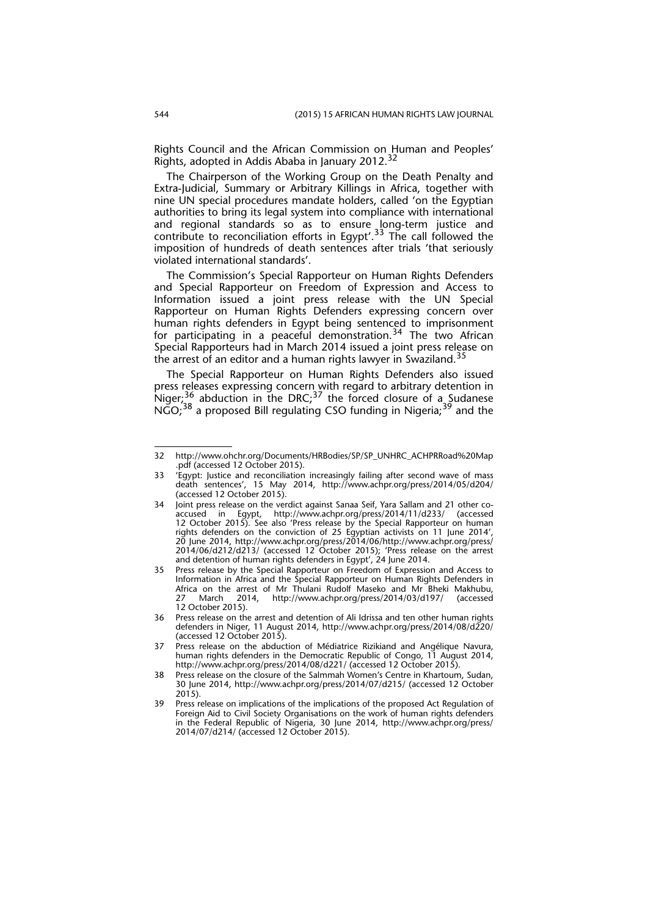Rights Council and the African Commission on Human and Peoples' Rights, adopted in Addis Ababa in January 2012.32

The Chairperson of the Working Group on the Death Penalty and Extra-Judicial, Summary or Arbitrary Killings in Africa, together with nine UN special procedures mandate holders, called 'on the Egyptian authorities to bring its legal system into compliance with international and regional standards so as to ensure long-term justice and contribute to reconciliation efforts in Egypt'.<sup>33</sup> The call followed the imposition of hundreds of death sentences after trials 'that seriously violated international standards'.

The Commission's Special Rapporteur on Human Rights Defenders and Special Rapporteur on Freedom of Expression and Access to Information issued a joint press release with the UN Special Rapporteur on Human Rights Defenders expressing concern over human rights defenders in Egypt being sentenced to imprisonment for participating in a peaceful demonstration.<sup>34</sup> The two African Special Rapporteurs had in March 2014 issued a joint press release on the arrest of an editor and a human rights lawyer in Swaziland.<sup>35</sup>

The Special Rapporteur on Human Rights Defenders also issued press releases expressing concern with regard to arbitrary detention in Niger;<sup>36</sup> abduction in the DRC;<sup>37</sup> the forced closure of a Sudanese NGO;<sup>38</sup> a proposed Bill regulating CSO funding in Nigeria;<sup>39</sup> and the

<sup>32</sup> http://www.ohchr.org/Documents/HRBodies/SP/SP\_UNHRC\_ACHPRRoad%20Map .pdf (accessed 12 October 2015).

<sup>33 &#</sup>x27;Egypt: Justice and reconciliation increasingly failing after second wave of mass death sentences', 15 May 2014, http://www.achpr.org/press/2014/05/d204/ (accessed 12 October 2015).

<sup>34</sup> Joint press release on the verdict against Sanaa Seif, Yara Sallam and 21 other coaccused in Egypt, http://www.achpr.org/press/2014/11/d233/ (accessed 12 October 2015). See also 'Press release by the Special Rapporteur on human rights defenders on the conviction of 25 Egyptian activists on 11 June 2014', 20 June 2014, http://www.achpr.org/press/2014/06/http://www.achpr.org/press/ 2014/06/d212/d213/ (accessed 12 October 2015); 'Press release on the arrest and detention of human rights defenders in Egypt', 24 June 2014.

<sup>35</sup> Press release by the Special Rapporteur on Freedom of Expression and Access to Information in Africa and the Special Rapporteur on Human Rights Defenders in Africa on the arrest of Mr Thulani Rudolf Maseko and Mr Bheki Makhubu,<br>27 March 2014, http://www.achpr.org/press/2014/03/d197/ (accessed http://www.achpr.org/press/2014/03/d197/ 12 October 2015).

<sup>36</sup> Press release on the arrest and detention of Ali Idrissa and ten other human rights defenders in Niger, 11 August 2014, http://www.achpr.org/press/2014/08/d220/ (accessed 12 October 2015).

<sup>37</sup> Press release on the abduction of Médiatrice Rizikiand and Angélique Navura, human rights defenders in the Democratic Republic of Congo, 11 August 2014, http://www.achpr.org/press/2014/08/d221/ (accessed 12 October 2015).

<sup>38</sup> Press release on the closure of the Salmmah Women's Centre in Khartoum, Sudan, 30 June 2014, http://www.achpr.org/press/2014/07/d215/ (accessed 12 October  $2015$ ).

<sup>39</sup> Press release on implications of the implications of the proposed Act Regulation of Foreign Aid to Civil Society Organisations on the work of human rights defenders in the Federal Republic of Nigeria, 30 June 2014, http://www.achpr.org/press/ 2014/07/d214/ (accessed 12 October 2015).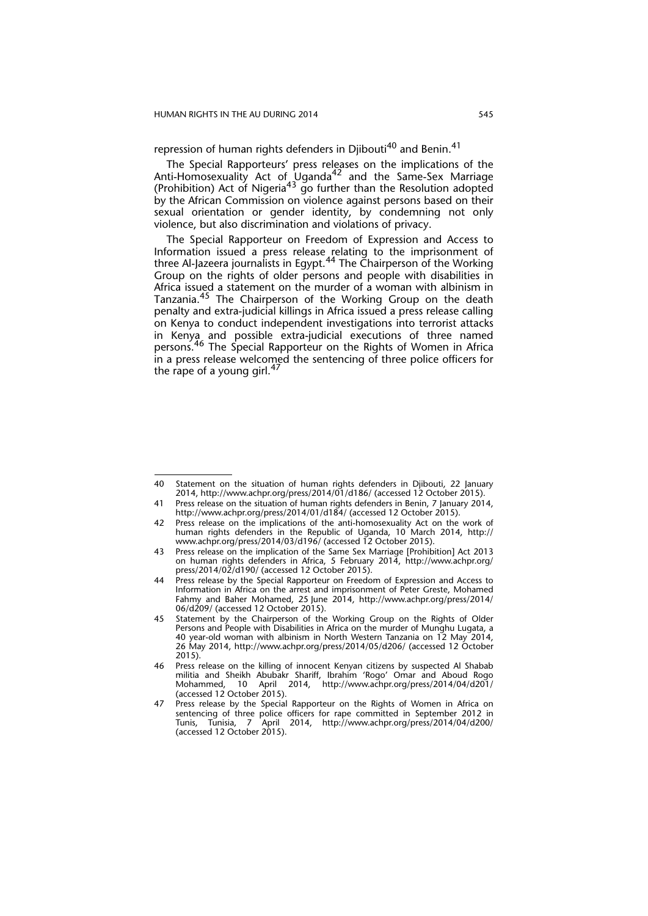repression of human rights defenders in Djibouti<sup>40</sup> and Benin.<sup>41</sup>

The Special Rapporteurs' press releases on the implications of the Anti-Homosexuality Act of Uganda<sup>42</sup> and the Same-Sex Marriage (Prohibition) Act of Nigeria<sup>43</sup> go further than the Resolution adopted by the African Commission on violence against persons based on their sexual orientation or gender identity, by condemning not only violence, but also discrimination and violations of privacy.

The Special Rapporteur on Freedom of Expression and Access to Information issued a press release relating to the imprisonment of three Al-Jazeera journalists in Egypt.<sup>44</sup> The Chairperson of the Working Group on the rights of older persons and people with disabilities in Africa issued a statement on the murder of a woman with albinism in Tanzania.<sup>45</sup> The Chairperson of the Working Group on the death penalty and extra-judicial killings in Africa issued a press release calling on Kenya to conduct independent investigations into terrorist attacks in Kenya and possible extra-judicial executions of three named persons.<sup>46</sup> The Special Rapporteur on the Rights of Women in Africa in a press release welcomed the sentencing of three police officers for the rape of a young girl.<sup>47</sup>

<sup>40</sup> Statement on the situation of human rights defenders in Djibouti, 22 January 2014, http://www.achpr.org/press/2014/01/d186/ (accessed 12 October 2015).

<sup>41</sup> Press release on the situation of human rights defenders in Benin, 7 January 2014, http://www.achpr.org/press/2014/01/d184/ (accessed 12 October 2015).

<sup>42</sup> Press release on the implications of the anti-homosexuality Act on the work of human rights defenders in the Republic of Uganda, 10 March 2014, http:// www.achpr.org/press/2014/03/d196/ (accessed 12 October 2015).

<sup>43</sup> Press release on the implication of the Same Sex Marriage [Prohibition] Act 2013 on human rights defenders in Africa, 5 February 2014, http://www.achpr.org/ press/2014/02/d190/ (accessed 12 October 2015).

<sup>44</sup> Press release by the Special Rapporteur on Freedom of Expression and Access to Information in Africa on the arrest and imprisonment of Peter Greste, Mohamed Fahmy and Baher Mohamed, 25 June 2014, http://www.achpr.org/press/2014/ 06/d209/ (accessed 12 October 2015).

<sup>45</sup> Statement by the Chairperson of the Working Group on the Rights of Older Persons and People with Disabilities in Africa on the murder of Munghu Lugata, a 40 year-old woman with albinism in North Western Tanzania on 12 May 2014, 26 May 2014, http://www.achpr.org/press/2014/05/d206/ (accessed 12 October 2015).

<sup>46</sup> Press release on the killing of innocent Kenyan citizens by suspected Al Shabab militia and Sheikh Abubakr Shariff, Ibrahim 'Rogo' Omar and Aboud Rogo Mohammed, 10 April 2014, http://www.achpr.org/press/2014/04/d201/ (accessed 12 October 2015).

<sup>47</sup> Press release by the Special Rapporteur on the Rights of Women in Africa on sentencing of three police officers for rape committed in September 2012 in Tunis, Tunisia, 7 April 2014, http://www.achpr.org/press/2014/04/d200/ (accessed 12 October 2015).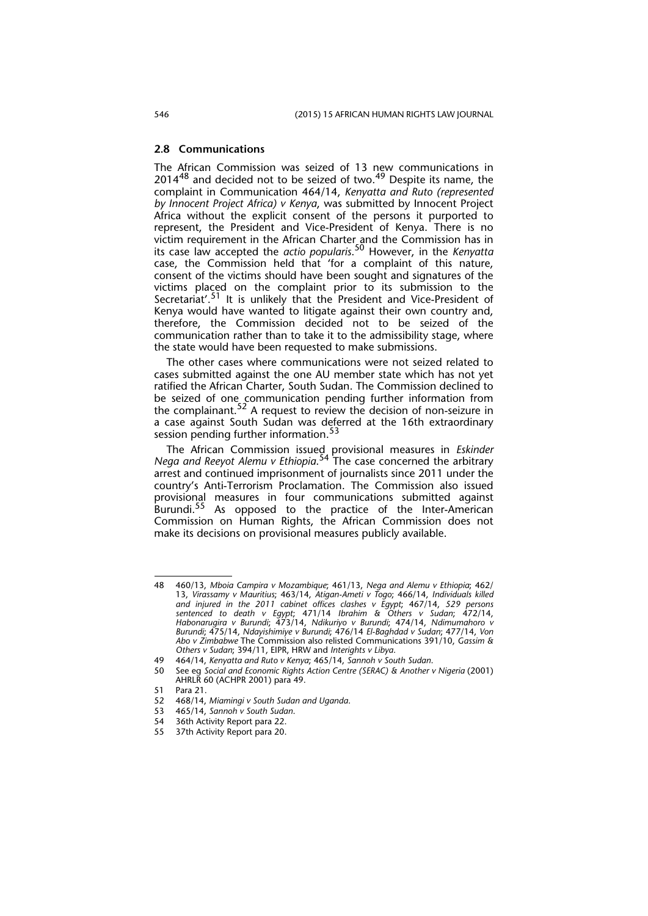## **2.8 Communications**

The African Commission was seized of 13 new communications in 2014<sup>48</sup> and decided not to be seized of two.<sup>49</sup> Despite its name, the complaint in Communication 464/14, *Kenyatta and Ruto (represented by Innocent Project Africa) v Kenya*, was submitted by Innocent Project Africa without the explicit consent of the persons it purported to represent, the President and Vice-President of Kenya. There is no victim requirement in the African Charter and the Commission has in its case law accepted the *actio popularis*. 50 However, in the *Kenyatta* case, the Commission held that 'for a complaint of this nature, consent of the victims should have been sought and signatures of the victims placed on the complaint prior to its submission to the Secretariat'.<sup>51</sup> It is unlikely that the President and Vice-President of Kenya would have wanted to litigate against their own country and, therefore, the Commission decided not to be seized of the communication rather than to take it to the admissibility stage, where the state would have been requested to make submissions.

The other cases where communications were not seized related to cases submitted against the one AU member state which has not yet ratified the African Charter, South Sudan. The Commission declined to be seized of one communication pending further information from the complainant.<sup>52</sup> A request to review the decision of non-seizure in a case against South Sudan was deferred at the 16th extraordinary session pending further information.<sup>53</sup>

The African Commission issued provisional measures in *Eskinder Nega and Reeyot Alemu v Ethiopia*. 54 The case concerned the arbitrary arrest and continued imprisonment of journalists since 2011 under the country's Anti-Terrorism Proclamation. The Commission also issued provisional measures in four communications submitted against Burundi.55 As opposed to the practice of the Inter-American Commission on Human Rights, the African Commission does not make its decisions on provisional measures publicly available.

<sup>48 460/13,</sup> *Mboia Campira v Mozambique*; 461/13, *Nega and Alemu v Ethiopia*; 462/ 13, *Virassamy v Mauritius*; 463/14, *Atigan-Ameti v Togo*; 466/14, *Individuals killed and injured in the 2011 cabinet offices clashes v Egypt*; 467/14, *529 persons sentenced to death v Egypt*; 471/14 *Ibrahim & Others v Sudan*; 472/14, *Habonarugira v Burundi*; 473/14, *Ndikuriyo v Burundi*; 474/14, *Ndimumahoro v Burundi*; 475/14, *Ndayishimiye v Burundi*; 476/14 *El-Baghdad v Sudan*; 477/14, *Von Abo v Zimbabwe* The Commission also relisted Communications 391/10, *Gassim & Others v Sudan*; 394/11, EIPR, HRW and *Interights v Libya*.

<sup>49 464/14,</sup> *Kenyatta and Ruto v Kenya*; 465/14, *Sannoh v South Sudan*.

<sup>50</sup> See eg *Social and Economic Rights Action Centre (SERAC) & Another v Nigeria* (2001) AHRLR 60 (ACHPR 2001) para 49.

<sup>51</sup> Para 21.

<sup>52 468/14,</sup> *Miamingi v South Sudan and Uganda*.

<sup>53 465/14,</sup> *Sannoh v South Sudan*.

<sup>36</sup>th Activity Report para 22.

<sup>55 37</sup>th Activity Report para 20.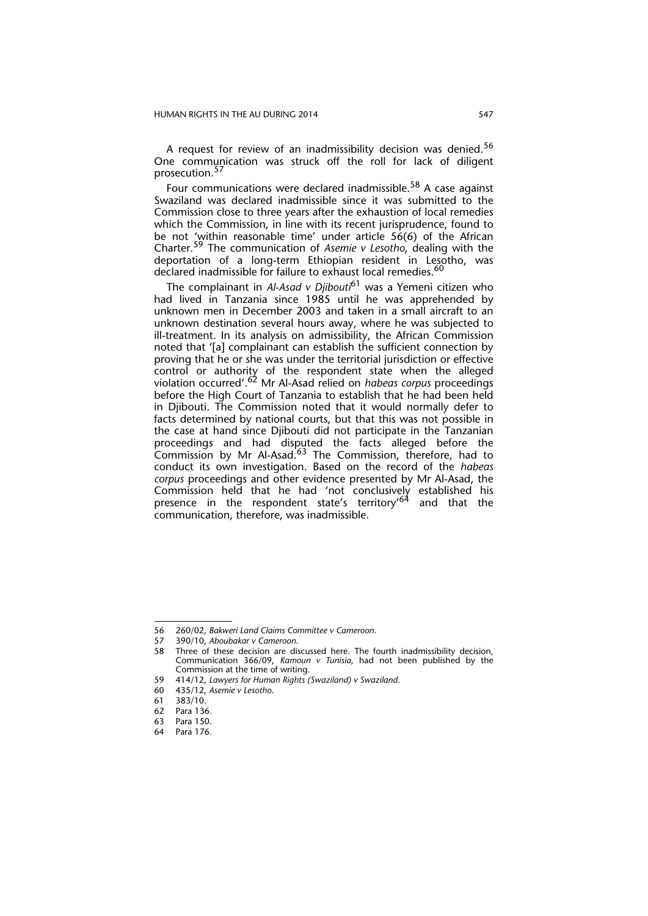A request for review of an inadmissibility decision was denied.<sup>56</sup> One communication was struck off the roll for lack of diligent prosecution.<sup>57</sup>

Four communications were declared inadmissible.<sup>58</sup> A case against Swaziland was declared inadmissible since it was submitted to the Commission close to three years after the exhaustion of local remedies which the Commission, in line with its recent jurisprudence, found to be not 'within reasonable time' under article  $56(6)$  of the African Charter.59 The communication of *Asemie v Lesotho*, dealing with the deportation of a long-term Ethiopian resident in Lesotho, was declared inadmissible for failure to exhaust local remedies.<sup>60</sup>

The complainant in *Al-Asad v Djibouti*<sup>61</sup> was a Yemeni citizen who had lived in Tanzania since 1985 until he was apprehended by unknown men in December 2003 and taken in a small aircraft to an unknown destination several hours away, where he was subjected to ill-treatment. In its analysis on admissibility, the African Commission noted that '[a] complainant can establish the sufficient connection by proving that he or she was under the territorial jurisdiction or effective control or authority of the respondent state when the alleged violation occurred'.62 Mr Al-Asad relied on *habeas corpus* proceedings before the High Court of Tanzania to establish that he had been held in Djibouti. The Commission noted that it would normally defer to facts determined by national courts, but that this was not possible in the case at hand since Djibouti did not participate in the Tanzanian proceedings and had disputed the facts alleged before the Commission by Mr Al-Asad.63 The Commission, therefore, had to conduct its own investigation. Based on the record of the *habeas corpus* proceedings and other evidence presented by Mr Al-Asad, the Commission held that he had 'not conclusively established his presence in the respondent state's territory'<sup>64</sup> and that the communication, therefore, was inadmissible.

<sup>56 260/02,</sup> *Bakweri Land Claims Committee v Cameroon*.

<sup>57 390/10,</sup> *Aboubakar v Cameroon*.

Three of these decision are discussed here. The fourth inadmissibility decision, Communication 366/09, *Kamoun v Tunisia*, had not been published by the Commission at the time of writing.

<sup>59 414/12,</sup> *Lawyers for Human Rights (Swaziland) v Swaziland*.

<sup>60 435/12,</sup> *Asemie v Lesotho*.

<sup>61 383/10.</sup>

<sup>62</sup> Para 136.

Para 150.

<sup>64</sup> Para 176.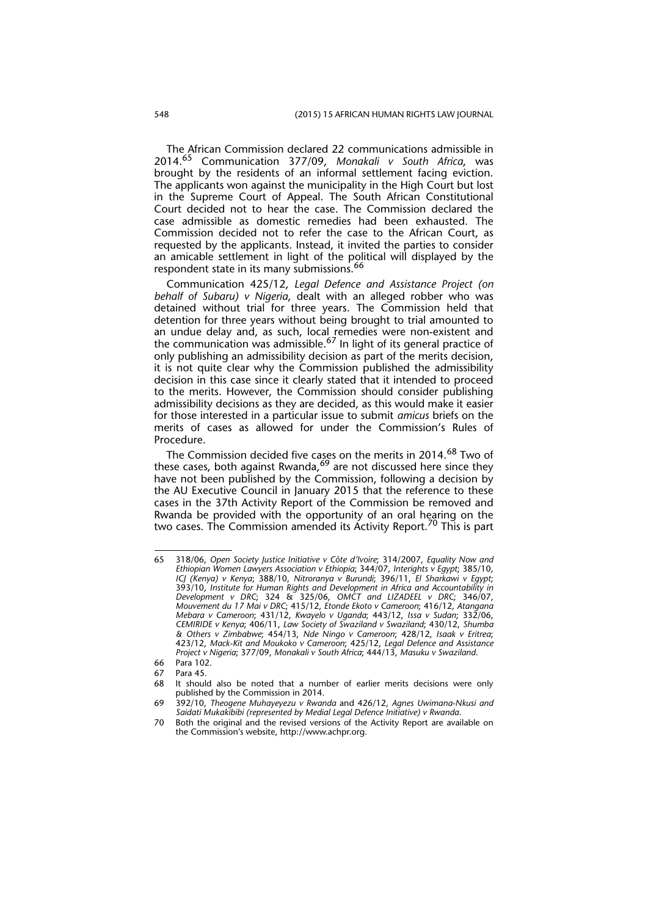The African Commission declared 22 communications admissible in 2014.65 Communication 377/09, *Monakali v South Africa*, was brought by the residents of an informal settlement facing eviction. The applicants won against the municipality in the High Court but lost in the Supreme Court of Appeal. The South African Constitutional Court decided not to hear the case. The Commission declared the case admissible as domestic remedies had been exhausted. The Commission decided not to refer the case to the African Court, as requested by the applicants. Instead, it invited the parties to consider an amicable settlement in light of the political will displayed by the respondent state in its many submissions.66

Communication 425/12, *Legal Defence and Assistance Project (on behalf of Subaru) v Nigeria*, dealt with an alleged robber who was detained without trial for three years. The Commission held that detention for three years without being brought to trial amounted to an undue delay and, as such, local remedies were non-existent and the communication was admissible.<sup>67</sup> In light of its general practice of only publishing an admissibility decision as part of the merits decision, it is not quite clear why the Commission published the admissibility decision in this case since it clearly stated that it intended to proceed to the merits. However, the Commission should consider publishing admissibility decisions as they are decided, as this would make it easier for those interested in a particular issue to submit *amicus* briefs on the merits of cases as allowed for under the Commission's Rules of Procedure.

The Commission decided five cases on the merits in 2014.<sup>68</sup> Two of these cases, both against Rwanda,<sup>69</sup> are not discussed here since they have not been published by the Commission, following a decision by the AU Executive Council in January 2015 that the reference to these cases in the 37th Activity Report of the Commission be removed and Rwanda be provided with the opportunity of an oral hearing on the two cases. The Commission amended its Activity Report.<sup>70</sup> This is part

<sup>65 318/06,</sup> *Open Society Justice Initiative v Côte d'Ivoire*; 314/2007, *Equality Now and Ethiopian Women Lawyers Association v Ethiopia*; 344/07, *Interights v Egypt*; 385/10, *ICJ (Kenya) v Kenya*; 388/10, *Nitroranya v Burundi*; 396/11, *El Sharkawi v Egypt*; 393/10, *Institute for Human Rights and Development in Africa and Accountability in Development v DRC*; 324 & 325/06, *OMCT and LIZADEEL v DRC*; 346/07, *Mouvement du 17 Mai v DRC*; 415/12, *Etonde Ekoto v Cameroon*; 416/12, *Atangana Mebara v Cameroon*; 431/12, *Kwayelo v Uganda*; 443/12, *Issa v Sudan*; 332/06, *CEMIRIDE v Kenya*; 406/11, *Law Society of Swaziland v Swaziland*; 430/12, *Shumba & Others v Zimbabwe*; 454/13, *Nde Ningo v Cameroon*; 428/12, *Isaak v Eritrea*; 423/12, *Mack-Kit and Moukoko v Cameroon*; 425/12, *Legal Defence and Assistance Project v Nigeria*; 377/09, *Monakali v South Africa*; 444/13, *Masuku v Swaziland*.

<sup>66</sup> Para 102.

<sup>67</sup> Para 45.

<sup>68</sup> It should also be noted that a number of earlier merits decisions were only published by the Commission in 2014.

<sup>69 392/10,</sup> *Theogene Muhayeyezu v Rwanda* and 426/12, *Agnes Uwimana-Nkusi and Saidati Mukakibibi (represented by Medial Legal Defence Initiative) v Rwanda*.

<sup>70</sup> Both the original and the revised versions of the Activity Report are available on the Commission's website, http://www.achpr.org.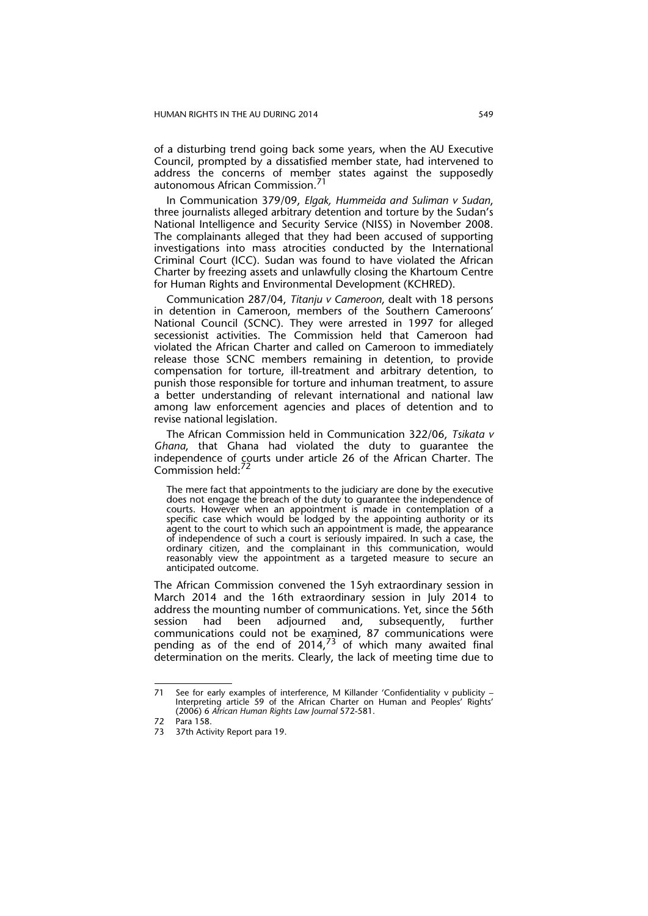of a disturbing trend going back some years, when the AU Executive Council, prompted by a dissatisfied member state, had intervened to address the concerns of member states against the supposedly autonomous African Commission.

In Communication 379/09, *Elgak, Hummeida and Suliman v Sudan*, three journalists alleged arbitrary detention and torture by the Sudan's National Intelligence and Security Service (NISS) in November 2008. The complainants alleged that they had been accused of supporting investigations into mass atrocities conducted by the International Criminal Court (ICC). Sudan was found to have violated the African Charter by freezing assets and unlawfully closing the Khartoum Centre for Human Rights and Environmental Development (KCHRED).

Communication 287/04, *Titanju v Cameroon*, dealt with 18 persons in detention in Cameroon, members of the Southern Cameroons' National Council (SCNC). They were arrested in 1997 for alleged secessionist activities. The Commission held that Cameroon had violated the African Charter and called on Cameroon to immediately release those SCNC members remaining in detention, to provide compensation for torture, ill-treatment and arbitrary detention, to punish those responsible for torture and inhuman treatment, to assure a better understanding of relevant international and national law among law enforcement agencies and places of detention and to revise national legislation.

The African Commission held in Communication 322/06, *Tsikata v Ghana*, that Ghana had violated the duty to guarantee the independence of <u>c</u>ourts under article 26 of the African Charter. The Commission held:<sup>72</sup>

The mere fact that appointments to the judiciary are done by the executive does not engage the breach of the duty to guarantee the independence of courts. However when an appointment is made in contemplation of a specific case which would be lodged by the appointing authority or its agent to the court to which such an appointment is made, the appearance of independence of such a court is seriously impaired. In such a case, the ordinary citizen, and the complainant in this communication, would reasonably view the appointment as a targeted measure to secure an anticipated outcome.

The African Commission convened the 15yh extraordinary session in March 2014 and the 16th extraordinary session in July 2014 to address the mounting number of communications. Yet, since the 56th session had been adjourned and, subsequently, further communications could not be examined, 87 communications were pending as of the end of 2014, $73$  of which many awaited final determination on the merits. Clearly, the lack of meeting time due to

<sup>71</sup> See for early examples of interference, M Killander 'Confidentiality v publicity – Interpreting article 59 of the African Charter on Human and Peoples' Rights' (2006) 6 *African Human Rights Law Journal* 572-581.

<sup>72</sup> Para 158.

<sup>73 37</sup>th Activity Report para 19.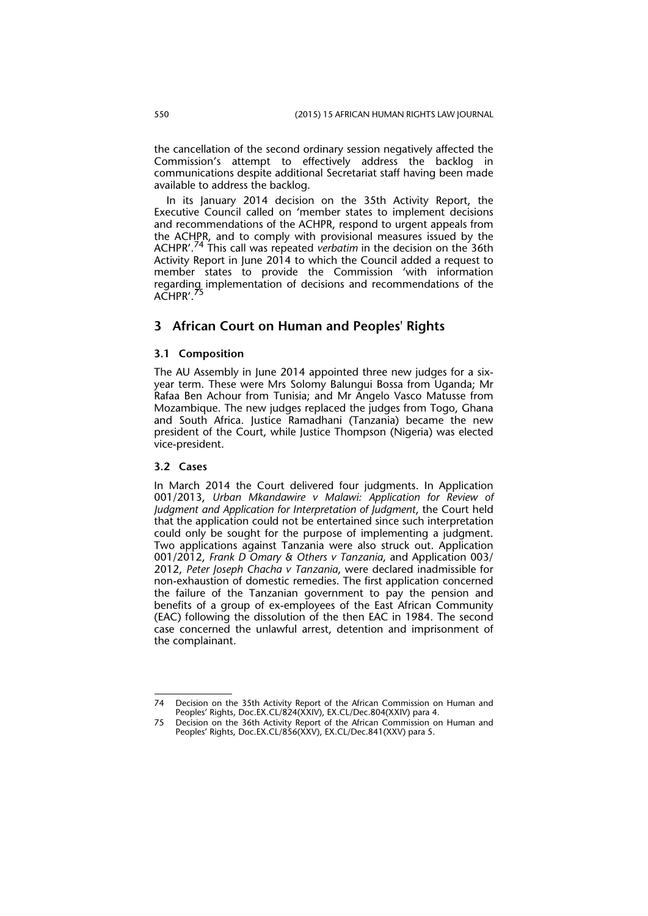the cancellation of the second ordinary session negatively affected the Commission's attempt to effectively address the backlog in communications despite additional Secretariat staff having been made available to address the backlog.

In its January 2014 decision on the 35th Activity Report, the Executive Council called on 'member states to implement decisions and recommendations of the ACHPR, respond to urgent appeals from the ACHPR, and to comply with provisional measures issued by the ACHPR'.74 This call was repeated *verbatim* in the decision on the 36th Activity Report in June 2014 to which the Council added a request to member states to provide the Commission 'with information regarding implementation of decisions and recommendations of the ACHPR'.<sup>7</sup>

## **3 African Court on Human and Peoples' Rights**

### **3.1 Composition**

The AU Assembly in June 2014 appointed three new judges for a sixyear term. These were Mrs Solomy Balungui Bossa from Uganda; Mr Rafaa Ben Achour from Tunisia; and Mr Angelo Vasco Matusse from Mozambique. The new judges replaced the judges from Togo, Ghana and South Africa. Justice Ramadhani (Tanzania) became the new president of the Court, while Justice Thompson (Nigeria) was elected vice-president.

## **3.2 Cases**

In March 2014 the Court delivered four judgments. In Application 001/2013, *Urban Mkandawire v Malawi: Application for Review of Judgment and Application for Interpretation of Judgment*, the Court held that the application could not be entertained since such interpretation could only be sought for the purpose of implementing a judgment. Two applications against Tanzania were also struck out. Application 001/2012, *Frank D Omary & Others v Tanzania*, and Application 003/ 2012, *Peter Joseph Chacha v Tanzania*, were declared inadmissible for non-exhaustion of domestic remedies. The first application concerned the failure of the Tanzanian government to pay the pension and benefits of a group of ex-employees of the East African Community (EAC) following the dissolution of the then EAC in 1984. The second case concerned the unlawful arrest, detention and imprisonment of the complainant.

<sup>74</sup> Decision on the 35th Activity Report of the African Commission on Human and Peoples' Rights, Doc.EX.CL/824(XXIV), EX.CL/Dec.804(XXIV) para 4.

<sup>75</sup> Decision on the 36th Activity Report of the African Commission on Human and Peoples' Rights, Doc.EX.CL/856(XXV), EX.CL/Dec.841(XXV) para 5.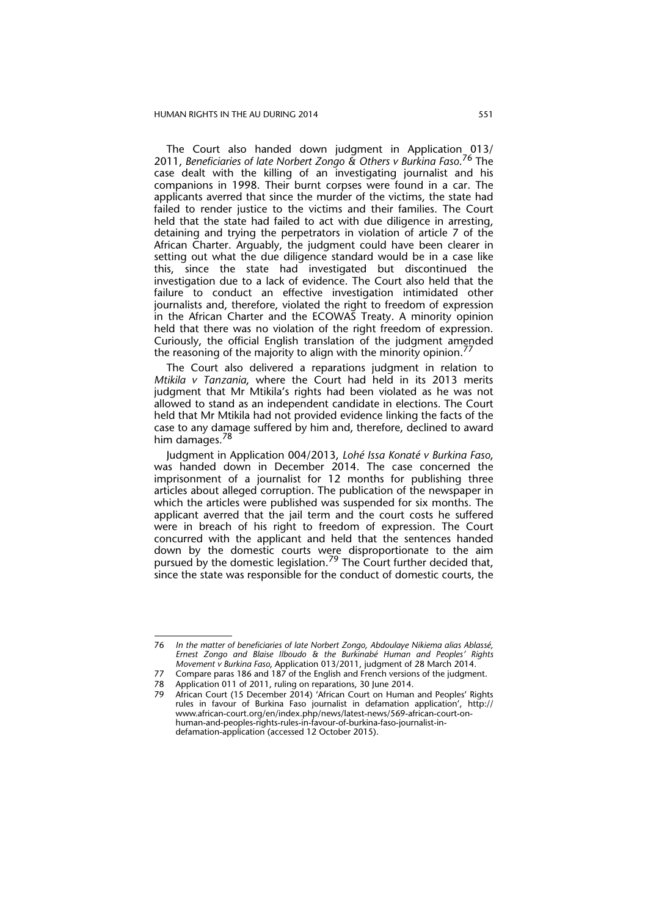The Court also handed down judgment in Application 013/ 2011, *Beneficiaries of late Norbert Zongo & Others v Burkina Faso*. 76 The case dealt with the killing of an investigating journalist and his companions in 1998. Their burnt corpses were found in a car. The applicants averred that since the murder of the victims, the state had failed to render justice to the victims and their families. The Court held that the state had failed to act with due diligence in arresting, detaining and trying the perpetrators in violation of article 7 of the African Charter. Arguably, the judgment could have been clearer in setting out what the due diligence standard would be in a case like this, since the state had investigated but discontinued the investigation due to a lack of evidence. The Court also held that the failure to conduct an effective investigation intimidated other journalists and, therefore, violated the right to freedom of expression in the African Charter and the ECOWAS Treaty. A minority opinion held that there was no violation of the right freedom of expression. Curiously, the official English translation of the judgment amended the reasoning of the majority to align with the minority opinion.<sup>77</sup>

The Court also delivered a reparations judgment in relation to *Mtikila v Tanzania*, where the Court had held in its 2013 merits judgment that Mr Mtikila's rights had been violated as he was not allowed to stand as an independent candidate in elections. The Court held that Mr Mtikila had not provided evidence linking the facts of the case to any damage suffered by him and, therefore, declined to award him damages.<sup>78</sup>

Judgment in Application 004/2013, *Lohé Issa Konaté v Burkina Faso*, was handed down in December 2014. The case concerned the imprisonment of a journalist for 12 months for publishing three articles about alleged corruption. The publication of the newspaper in which the articles were published was suspended for six months. The applicant averred that the jail term and the court costs he suffered were in breach of his right to freedom of expression. The Court concurred with the applicant and held that the sentences handed down by the domestic courts were disproportionate to the aim pursued by the domestic legislation.<sup>79</sup> The Court further decided that, since the state was responsible for the conduct of domestic courts, the

<sup>76</sup> *In the matter of beneficiaries of late Norbert Zongo, Abdoulaye Nikiema alias Ablassé, Ernest Zongo and Blaise Ilboudo & the Burkinabé Human and Peoples' Rights Movement v Burkina Faso*, Application 013/2011, judgment of 28 March 2014.

<sup>77</sup> Compare paras 186 and 187 of the English and French versions of the judgment.

<sup>78</sup> Application 011 of 2011, ruling on reparations, 30 June 2014.

<sup>79</sup> African Court (15 December 2014) 'African Court on Human and Peoples' Rights rules in favour of Burkina Faso journalist in defamation application', http:// www.african-court.org/en/index.php/news/latest-news/569-african-court-onhuman-and-peoples-rights-rules-in-favour-of-burkina-faso-journalist-indefamation-application (accessed 12 October 2015).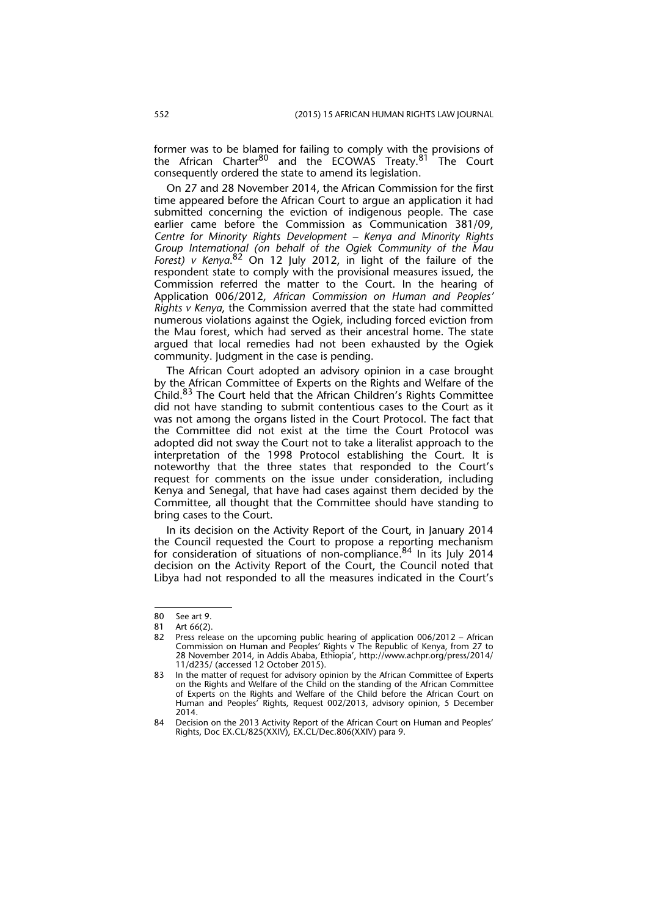former was to be blamed for failing to comply with the provisions of the African Charter<sup>80</sup> and the ECOWAS Treaty.<sup>81</sup> The Court consequently ordered the state to amend its legislation.

On 27 and 28 November 2014, the African Commission for the first time appeared before the African Court to argue an application it had submitted concerning the eviction of indigenous people. The case earlier came before the Commission as Communication 381/09, *Centre for Minority Rights Development – Kenya and Minority Rights Group International (on behalf of the Ogiek Community of the Mau Forest) v Kenya*. 82 On 12 July 2012, in light of the failure of the respondent state to comply with the provisional measures issued, the Commission referred the matter to the Court. In the hearing of Application 006/2012, *African Commission on Human and Peoples' Rights v Kenya*, the Commission averred that the state had committed numerous violations against the Ogiek, including forced eviction from the Mau forest, which had served as their ancestral home. The state argued that local remedies had not been exhausted by the Ogiek community. Judgment in the case is pending.

The African Court adopted an advisory opinion in a case brought by the African Committee of Experts on the Rights and Welfare of the Child.<sup>83</sup> The Court held that the African Children's Rights Committee did not have standing to submit contentious cases to the Court as it was not among the organs listed in the Court Protocol. The fact that the Committee did not exist at the time the Court Protocol was adopted did not sway the Court not to take a literalist approach to the interpretation of the 1998 Protocol establishing the Court. It is noteworthy that the three states that responded to the Court's request for comments on the issue under consideration, including Kenya and Senegal, that have had cases against them decided by the Committee, all thought that the Committee should have standing to bring cases to the Court.

In its decision on the Activity Report of the Court, in January 2014 the Council requested the Court to propose a reporting mechanism for consideration of situations of non-compliance.<sup>84</sup> In its July 2014 decision on the Activity Report of the Court, the Council noted that Libya had not responded to all the measures indicated in the Court's

<sup>80</sup> See art 9.<br>81 Art 66(2).

Art 66(2).

<sup>82</sup> Press release on the upcoming public hearing of application 006/2012 – African Commission on Human and Peoples' Rights v The Republic of Kenya, from 27 to 28 November 2014, in Addis Ababa, Ethiopia', http://www.achpr.org/press/2014/ 11/d235/ (accessed 12 October 2015).

<sup>83</sup> In the matter of request for advisory opinion by the African Committee of Experts on the Rights and Welfare of the Child on the standing of the African Committee of Experts on the Rights and Welfare of the Child before the African Court on Human and Peoples' Rights, Request 002/2013, advisory opinion, 5 December 2014.

<sup>84</sup> Decision on the 2013 Activity Report of the African Court on Human and Peoples' Rights, Doc EX.CL/825(XXIV), EX.CL/Dec.806(XXIV) para 9.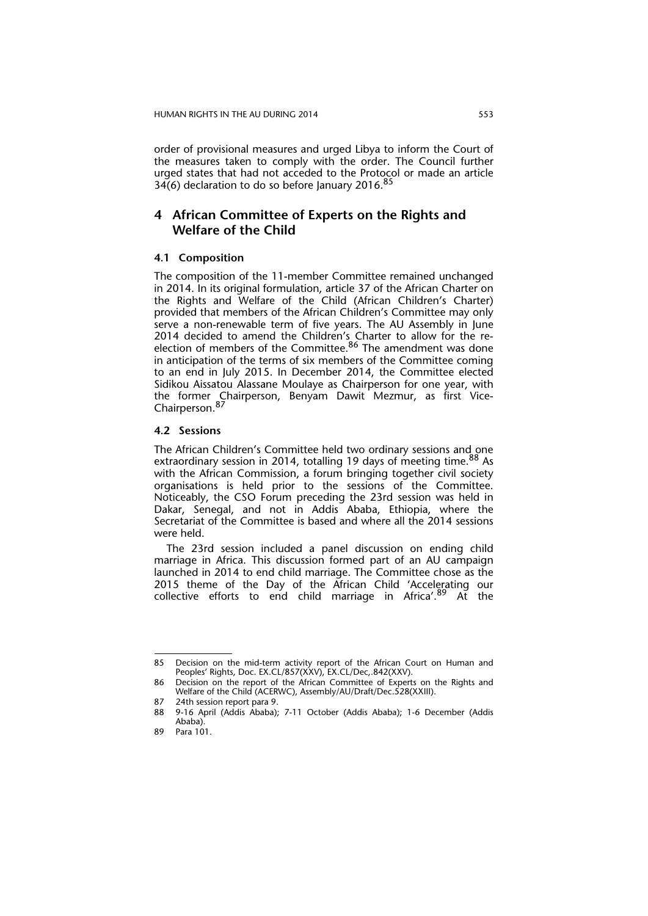order of provisional measures and urged Libya to inform the Court of the measures taken to comply with the order. The Council further urged states that had not acceded to the Protocol or made an article 34(6) declaration to do so before January 2016.<sup>85</sup>

## **4 African Committee of Experts on the Rights and Welfare of the Child**

#### **4.1 Composition**

The composition of the 11-member Committee remained unchanged in 2014. In its original formulation, article 37 of the African Charter on the Rights and Welfare of the Child (African Children's Charter) provided that members of the African Children's Committee may only serve a non-renewable term of five years. The AU Assembly in June 2014 decided to amend the Children's Charter to allow for the reelection of members of the Committee.<sup>86</sup> The amendment was done in anticipation of the terms of six members of the Committee coming to an end in July 2015. In December 2014, the Committee elected Sidikou Aissatou Alassane Moulaye as Chairperson for one year, with the former Chairperson, Benyam Dawit Mezmur, as first Vice-Chairperson.<sup>87</sup>

#### **4.2 Sessions**

The African Children's Committee held two ordinary sessions and one extraordinary session in 2014, totalling 19 days of meeting time.<sup>88</sup> As with the African Commission, a forum bringing together civil society organisations is held prior to the sessions of the Committee. Noticeably, the CSO Forum preceding the 23rd session was held in Dakar, Senegal, and not in Addis Ababa, Ethiopia, where the Secretariat of the Committee is based and where all the 2014 sessions were held.

The 23rd session included a panel discussion on ending child marriage in Africa. This discussion formed part of an AU campaign launched in 2014 to end child marriage. The Committee chose as the 2015 theme of the Day of the African Child 'Accelerating our collective efforts to end child marriage in Africa'.<sup>89</sup> At the

<sup>85</sup> Decision on the mid-term activity report of the African Court on Human and Peoples' Rights, Doc. EX.CL/857(XXV), EX.CL/Dec,.842(XXV).

<sup>86</sup> Decision on the report of the African Committee of Experts on the Rights and Welfare of the Child (ACERWC), Assembly/AU/Draft/Dec.528(XXIII).

<sup>87 24</sup>th session report para 9.

<sup>88 9-16</sup> April (Addis Ababa); 7-11 October (Addis Ababa); 1-6 December (Addis Ababa).

<sup>89</sup> Para 101.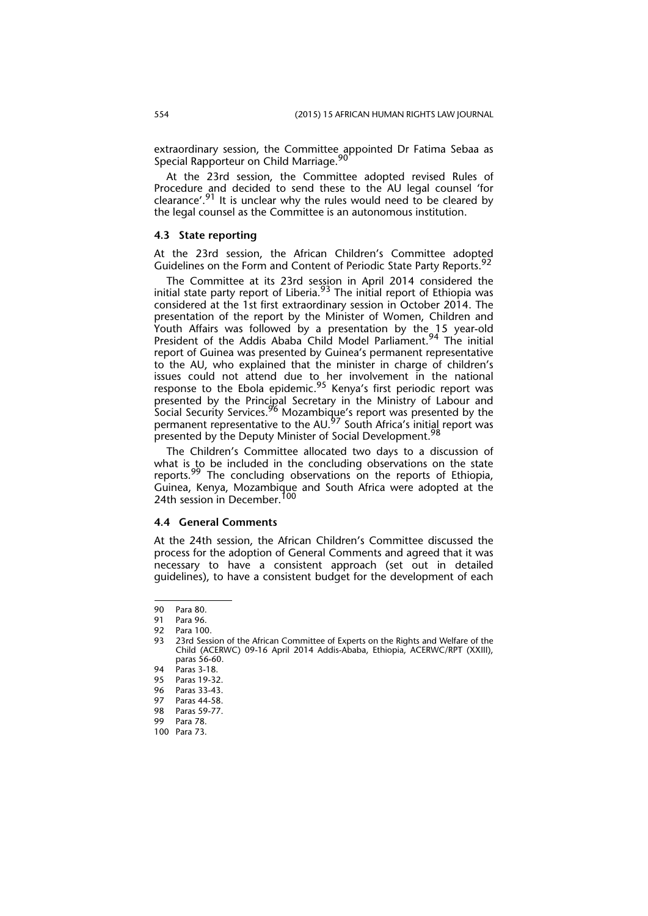extraordinary session, the Committee appointed Dr Fatima Sebaa as Special Rapporteur on Child Marriage.<sup>90</sup>

At the 23rd session, the Committee adopted revised Rules of Procedure and decided to send these to the AU legal counsel 'for clearance'.<sup>91</sup> It is unclear why the rules would need to be cleared by the legal counsel as the Committee is an autonomous institution.

#### **4.3 State reporting**

At the 23rd session, the African Children's Committee adopted Guidelines on the Form and Content of Periodic State Party Reports.<sup>92</sup>

The Committee at its 23rd session in April 2014 considered the initial state party report of Liberia.<sup>93</sup> The initial report of Ethiopia was considered at the 1st first extraordinary session in October 2014. The presentation of the report by the Minister of Women, Children and Youth Affairs was followed by a presentation by the 15 year-old President of the Addis Ababa Child Model Parliament.<sup>94</sup> The initial report of Guinea was presented by Guinea's permanent representative to the AU, who explained that the minister in charge of children's issues could not attend due to her involvement in the national response to the Ebola epidemic.<sup>95</sup> Kenya's first periodic report was presented by the Principal Secretary in the Ministry of Labour and Social Security Services.<sup>96</sup> Mozambique's report was presented by the permanent representative to the AU.<sup>97</sup> South Africa's initial report was presented by the Deputy Minister of Social Development.<sup>98</sup>

The Children's Committee allocated two days to a discussion of what is to be included in the concluding observations on the state reports.<sup>99</sup> The concluding observations on the reports of Ethiopia, Guinea, Kenya, Mozambique and South Africa were adopted at the 24th session in December.<sup>100</sup>

## **4.4 General Comments**

At the 24th session, the African Children's Committee discussed the process for the adoption of General Comments and agreed that it was necessary to have a consistent approach (set out in detailed guidelines), to have a consistent budget for the development of each

<sup>90</sup> Para 80.<br>91 Para 96.

<sup>91</sup> Para 96.<br>92 Para 100

Para 100.

<sup>93 23</sup>rd Session of the African Committee of Experts on the Rights and Welfare of the Child (ACERWC) 09-16 April 2014 Addis-Ababa, Ethiopia, ACERWC/RPT (XXIII), paras 56-60.

<sup>94</sup> Paras 3-18.

<sup>95</sup> Paras 19-32.<br>96 Paras 33-43

<sup>96</sup> Paras 33-43.<br>97 Paras 44-58

Paras 44-58

<sup>98</sup> Paras 59-77.<br>99 Para 78

Para 78.

<sup>100</sup> Para 73.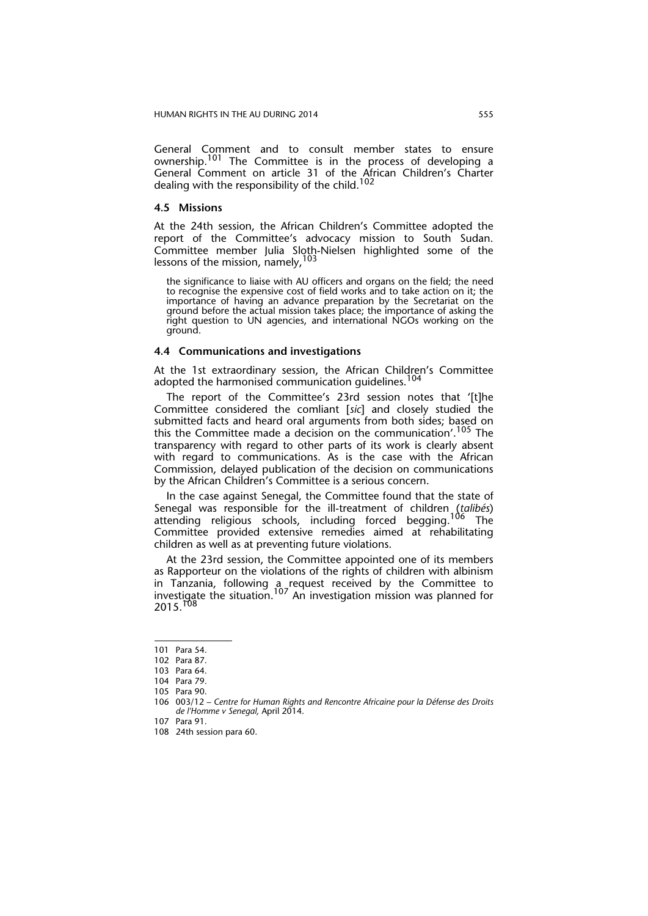General Comment and to consult member states to ensure ownership.<sup>101</sup> The Committee is in the process of developing a General Comment on article 31 of the African Children's Charter dealing with the responsibility of the child.<sup>102</sup>

### **4.5 Missions**

At the 24th session, the African Children's Committee adopted the report of the Committee's advocacy mission to South Sudan. Committee member Julia Sloth-Nielsen highlighted some of the lessons of the mission, namely, <sup>103</sup>

the significance to liaise with AU officers and organs on the field; the need to recognise the expensive cost of field works and to take action on it; the importance of having an advance preparation by the Secretariat on the ground before the actual mission takes place; the importance of asking the right question to UN agencies, and international NGOs working on the ground.

## **4.4 Communications and investigations**

At the 1st extraordinary session, the African Children's Committee adopted the harmonised communication guidelines.<sup>104</sup>

The report of the Committee's 23rd session notes that '[t]he Committee considered the comliant [*sic*] and closely studied the submitted facts and heard oral arguments from both sides; based on this the Committee made a decision on the communication'.<sup>105</sup> The transparency with regard to other parts of its work is clearly absent with regard to communications. As is the case with the African Commission, delayed publication of the decision on communications by the African Children's Committee is a serious concern.

In the case against Senegal, the Committee found that the state of Senegal was responsible for the ill-treatment of children (*talibés*) attending religious schools, including forced begging.<sup>106</sup> The Committee provided extensive remedies aimed at rehabilitating children as well as at preventing future violations.

At the 23rd session, the Committee appointed one of its members as Rapporteur on the violations of the rights of children with albinism in Tanzania, following a request received by the Committee to investigate the situation.<sup>107</sup> An investigation mission was planned for 2015.<sup>108</sup>

<sup>101</sup> Para 54.

<sup>102</sup> Para 87.

<sup>103</sup> Para 64.

<sup>104</sup> Para 79.

<sup>105</sup> Para 90.

<sup>106 003/12 –</sup> *Centre for Human Rights and Rencontre Africaine pour la Défense des Droits de l'Homme v Senegal,* April 2014.

<sup>107</sup> Para 91.

<sup>108 24</sup>th session para 60.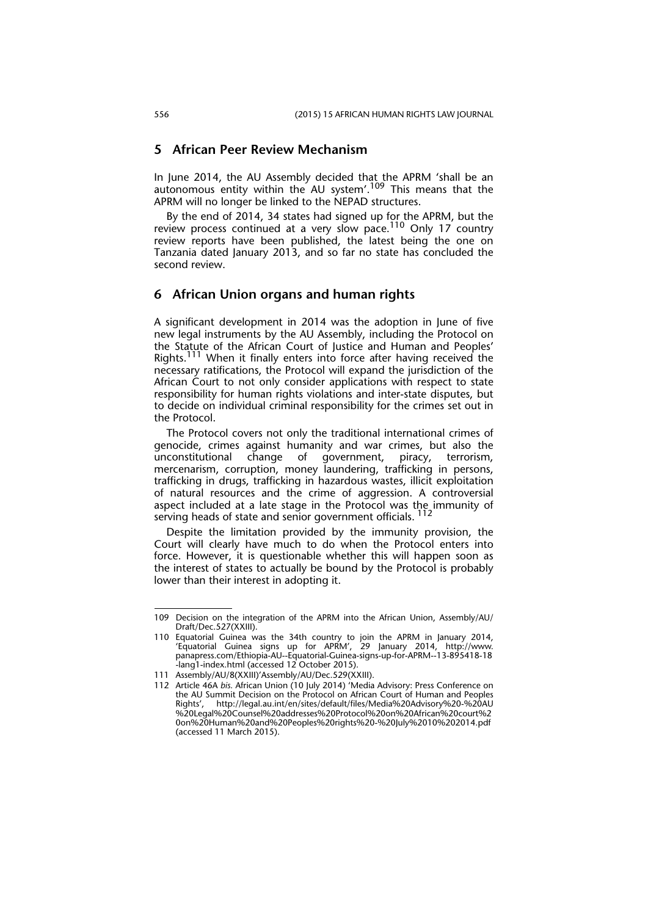## **5 African Peer Review Mechanism**

In June 2014, the AU Assembly decided that the APRM 'shall be an autonomous entity within the AU system'.<sup>109</sup> This means that the APRM will no longer be linked to the NEPAD structures.

By the end of 2014, 34 states had signed up for the APRM, but the review process continued at a very slow pace.<sup>110</sup> Only 17 country review reports have been published, the latest being the one on Tanzania dated January 2013, and so far no state has concluded the second review.

## **6 African Union organs and human rights**

A significant development in 2014 was the adoption in June of five new legal instruments by the AU Assembly, including the Protocol on the Statute of the African Court of Justice and Human and Peoples' Rights.<sup>111</sup> When it finally enters into force after having received the necessary ratifications, the Protocol will expand the jurisdiction of the African Court to not only consider applications with respect to state responsibility for human rights violations and inter-state disputes, but to decide on individual criminal responsibility for the crimes set out in the Protocol.

The Protocol covers not only the traditional international crimes of genocide, crimes against humanity and war crimes, but also the unconstitutional change of government, piracy, terrorism, mercenarism, corruption, money laundering, trafficking in persons, trafficking in drugs, trafficking in hazardous wastes, illicit exploitation of natural resources and the crime of aggression. A controversial aspect included at a late stage in the Protocol was the immunity of serving heads of state and senior government officials.<sup>112</sup>

Despite the limitation provided by the immunity provision, the Court will clearly have much to do when the Protocol enters into force. However, it is questionable whether this will happen soon as the interest of states to actually be bound by the Protocol is probably lower than their interest in adopting it.

<sup>109</sup> Decision on the integration of the APRM into the African Union, Assembly/AU/ Draft/Dec.527(XXIII).

<sup>110</sup> Equatorial Guinea was the 34th country to join the APRM in January 2014, 'Equatorial Guinea signs up for APRM', 29 January 2014, http://www. panapress.com/Ethiopia-AU--Equatorial-Guinea-signs-up-for-APRM--13-895418-18 -lang1-index.html (accessed 12 October 2015).

<sup>111</sup> Assembly/AU/8(XXIII)'Assembly/AU/Dec.529(XXIII).

<sup>112</sup> Article 46A *bis.* African Union (10 July 2014) 'Media Advisory: Press Conference on the AU Summit Decision on the Protocol on African Court of Human and Peoples<br>Rights', http://legal.au.int/en/sites/default/files/Media%20Advisory%20-%20AU Rights', http://legal.au.int/en/sites/default/files/Media%20Advisory%20-%20AU %20Legal%20Counsel%20addresses%20Protocol%20on%20African%20court%2 0on%20Human%20and%20Peoples%20rights%20-%20July%2010%202014.pdf (accessed 11 March 2015).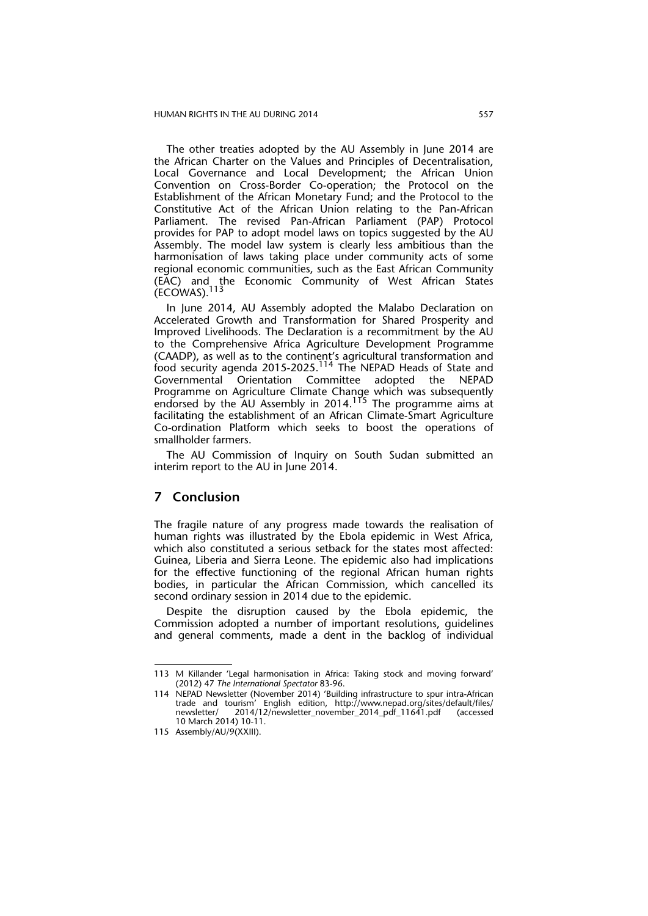The other treaties adopted by the AU Assembly in June 2014 are the African Charter on the Values and Principles of Decentralisation, Local Governance and Local Development; the African Union Convention on Cross-Border Co-operation; the Protocol on the Establishment of the African Monetary Fund; and the Protocol to the Constitutive Act of the African Union relating to the Pan-African Parliament. The revised Pan-African Parliament (PAP) Protocol provides for PAP to adopt model laws on topics suggested by the AU Assembly. The model law system is clearly less ambitious than the harmonisation of laws taking place under community acts of some regional economic communities, such as the East African Community (EAC) and the Economic Community of West African States  $(COWAS).<sup>113</sup>$ 

In June 2014, AU Assembly adopted the Malabo Declaration on Accelerated Growth and Transformation for Shared Prosperity and Improved Livelihoods. The Declaration is a recommitment by the AU to the Comprehensive Africa Agriculture Development Programme (CAADP), as well as to the continent's agricultural transformation and  $\hat{f}$ ood security agenda 2015-2025. $^{114}$  The NEPAD Heads of State and Governmental Orientation Committee adopted the NEPAD Programme on Agriculture Climate Change which was subsequently endorsed by the AU Assembly in 2014.<sup>115</sup> The programme aims at facilitating the establishment of an African Climate-Smart Agriculture Co-ordination Platform which seeks to boost the operations of smallholder farmers.

The AU Commission of Inquiry on South Sudan submitted an interim report to the AU in June 2014.

## **7 Conclusion**

The fragile nature of any progress made towards the realisation of human rights was illustrated by the Ebola epidemic in West Africa, which also constituted a serious setback for the states most affected: Guinea, Liberia and Sierra Leone. The epidemic also had implications for the effective functioning of the regional African human rights bodies, in particular the African Commission, which cancelled its second ordinary session in 2014 due to the epidemic.

Despite the disruption caused by the Ebola epidemic, the Commission adopted a number of important resolutions, guidelines and general comments, made a dent in the backlog of individual

<sup>113</sup> M Killander 'Legal harmonisation in Africa: Taking stock and moving forward' (2012) 47 *The International Spectator* 83-96.

<sup>114</sup> NEPAD Newsletter (November 2014) 'Building infrastructure to spur intra-African trade and tourism' English edition, http://www.nepad.org/sites/default/files/ newsletter/ 2014/12/newsletter\_november\_2014\_pdf\_11641.pdf (accessed 10 March 2014) 10-11.

<sup>115</sup> Assembly/AU/9(XXIII).